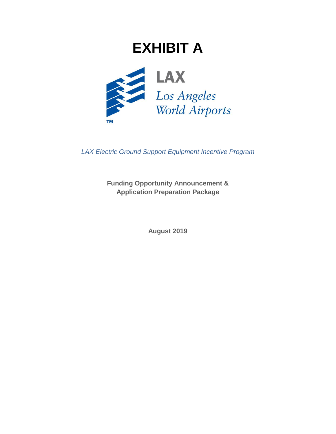# **EXHIBIT A**



*LAX Electric Ground Support Equipment Incentive Program*

**Funding Opportunity Announcement & Application Preparation Package**

**August 2019**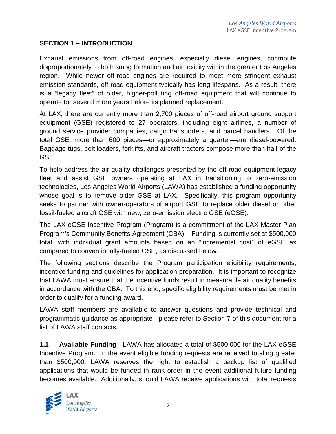#### **SECTION 1 – INTRODUCTION**

Exhaust emissions from off-road engines, especially diesel engines, contribute disproportionately to both smog formation and air toxicity within the greater Los Angeles region. While newer off-road engines are required to meet more stringent exhaust emission standards, off-road equipment typically has long lifespans. As a result, there is a "legacy fleet" of older, higher-polluting off-road equipment that will continue to operate for several more years before its planned replacement.

At LAX, there are currently more than 2,700 pieces of off-road airport ground support equipment (GSE) registered to 27 operators, including eight airlines, a number of ground service provider companies, cargo transporters, and parcel handlers. Of the total GSE, more than 600 pieces—or approximately a quarter—are diesel-powered. Baggage tugs, belt loaders, forklifts, and aircraft tractors compose more than half of the GSE.

To help address the air quality challenges presented by the off-road equipment legacy fleet and assist GSE owners operating at LAX in transitioning to zero-emission technologies, Los Angeles World Airports (LAWA) has established a funding opportunity whose goal is to remove older GSE at LAX. Specifically, this program opportunity seeks to partner with owner-operators of airport GSE to replace older diesel or other fossil-fueled aircraft GSE with new, zero-emission electric GSE (eGSE).

The LAX eGSE Incentive Program (Program) is a commitment of the LAX Master Plan Program's Community Benefits Agreement (CBA). Funding is currently set at \$500,000 total, with individual grant amounts based on an "incremental cost" of eGSE as compared to conventionally-fueled GSE, as discussed below.

The following sections describe the Program participation eligibility requirements, incentive funding and guidelines for application preparation. It is important to recognize that LAWA must ensure that the incentive funds result in measurable air quality benefits in accordance with the CBA. To this end, specific eligibility requirements must be met in order to qualify for a funding award.

LAWA staff members are available to answer questions and provide technical and programmatic guidance as appropriate - please refer to Section 7 of this document for a list of LAWA staff contacts.

**1.1 Available Funding** - LAWA has allocated a total of \$500,000 for the LAX eGSE Incentive Program. In the event eligible funding requests are received totaling greater than \$500,000, LAWA reserves the right to establish a backup list of qualified applications that would be funded in rank order in the event additional future funding becomes available. Additionally, should LAWA receive applications with total requests

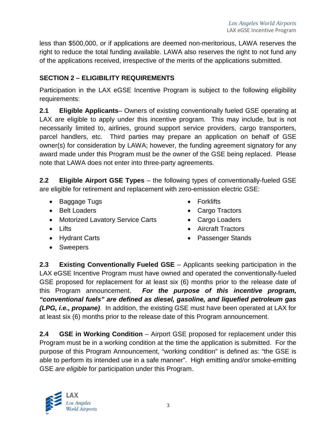less than \$500,000, or if applications are deemed non-meritorious, LAWA reserves the right to reduce the total funding available. LAWA also reserves the right to not fund any of the applications received, irrespective of the merits of the applications submitted.

## **SECTION 2 – ELIGIBILITY REQUIREMENTS**

Participation in the LAX eGSE Incentive Program is subject to the following eligibility requirements:

**2.1 Eligible Applicants**– Owners of existing conventionally fueled GSE operating at LAX are eligible to apply under this incentive program. This may include, but is not necessarily limited to, airlines, ground support service providers, cargo transporters, parcel handlers, etc. Third parties may prepare an application on behalf of GSE owner(s) for consideration by LAWA; however, the funding agreement signatory for any award made under this Program must be the owner of the GSE being replaced. Please note that LAWA does not enter into three-party agreements.

**2.2 Eligible Airport GSE Types** – the following types of conventionally-fueled GSE are eligible for retirement and replacement with zero-emission electric GSE:

- Baggage Tugs
- Belt Loaders
- Motorized Lavatory Service Carts
- Lifts
- Hydrant Carts
- Forklifts
- Cargo Tractors
- Cargo Loaders
- Aircraft Tractors
- Passenger Stands

• Sweepers

**2.3 Existing Conventionally Fueled GSE** – Applicants seeking participation in the LAX eGSE Incentive Program must have owned and operated the conventionally-fueled GSE proposed for replacement for at least six (6) months prior to the release date of this Program announcement. *For the purpose of this incentive program, "conventional fuels" are defined as diesel, gasoline, and liquefied petroleum gas (LPG, i.e., propane)*. In addition, the existing GSE must have been operated at LAX for at least six (6) months prior to the release date of this Program announcement.

**2.4 GSE in Working Condition** – Airport GSE proposed for replacement under this Program must be in a working condition at the time the application is submitted. For the purpose of this Program Announcement, "working condition" is defined as: "the GSE is able to perform its intended use in a safe manner". High emitting and/or smoke-emitting GSE *are eligible* for participation under this Program.

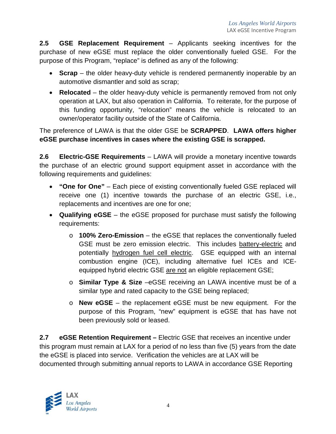**2.5 GSE Replacement Requirement** – Applicants seeking incentives for the purchase of new eGSE must replace the older conventionally fueled GSE. For the purpose of this Program, "replace" is defined as any of the following:

- **Scrap** the older heavy-duty vehicle is rendered permanently inoperable by an automotive dismantler and sold as scrap;
- **Relocated** the older heavy-duty vehicle is permanently removed from not only operation at LAX, but also operation in California. To reiterate, for the purpose of this funding opportunity, "relocation" means the vehicle is relocated to an owner/operator facility outside of the State of California.

The preference of LAWA is that the older GSE be **SCRAPPED**. **LAWA offers higher eGSE purchase incentives in cases where the existing GSE is scrapped.**

**2.6 Electric-GSE Requirements** – LAWA will provide a monetary incentive towards the purchase of an electric ground support equipment asset in accordance with the following requirements and guidelines:

- **"One for One"** Each piece of existing conventionally fueled GSE replaced will receive one (1) incentive towards the purchase of an electric GSE, i.e., replacements and incentives are one for one;
- **Qualifying eGSE** the eGSE proposed for purchase must satisfy the following requirements:
	- o **100% Zero-Emission** the eGSE that replaces the conventionally fueled GSE must be zero emission electric. This includes battery-electric and potentially hydrogen fuel cell electric. GSE equipped with an internal combustion engine (ICE), including alternative fuel ICEs and ICEequipped hybrid electric GSE are not an eligible replacement GSE;
	- o **Similar Type & Size** –eGSE receiving an LAWA incentive must be of a similar type and rated capacity to the GSE being replaced;
	- o **New eGSE**  the replacement eGSE must be new equipment. For the purpose of this Program, "new" equipment is eGSE that has have not been previously sold or leased.

**2.7 eGSE Retention Requirement –** Electric GSE that receives an incentive under this program must remain at LAX for a period of no less than five (5) years from the date the eGSE is placed into service. Verification the vehicles are at LAX will be documented through submitting annual reports to LAWA in accordance GSE Reporting

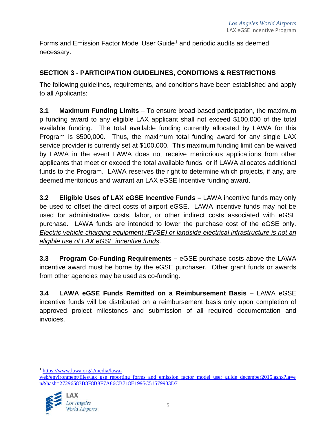Forms and Emission Factor Model User Guide<sup>[1](#page-4-0)</sup> and periodic audits as deemed necessary.

## **SECTION 3 - PARTICIPATION GUIDELINES, CONDITIONS & RESTRICTIONS**

The following guidelines, requirements, and conditions have been established and apply to all Applicants:

**3.1 Maximum Funding Limits** – To ensure broad-based participation, the maximum p funding award to any eligible LAX applicant shall not exceed \$100,000 of the total available funding. The total available funding currently allocated by LAWA for this Program is \$500,000. Thus, the maximum total funding award for any single LAX service provider is currently set at \$100,000. This maximum funding limit can be waived by LAWA in the event LAWA does not receive meritorious applications from other applicants that meet or exceed the total available funds, or if LAWA allocates additional funds to the Program. LAWA reserves the right to determine which projects, if any, are deemed meritorious and warrant an LAX eGSE Incentive funding award.

**3.2 Eligible Uses of LAX eGSE Incentive Funds –** LAWA incentive funds may only be used to offset the direct costs of airport eGSE. LAWA incentive funds may not be used for administrative costs, labor, or other indirect costs associated with eGSE purchase. LAWA funds are intended to lower the purchase cost of the eGSE only. *Electric vehicle charging equipment (EVSE) or landside electrical infrastructure is not an eligible use of LAX eGSE incentive funds*.

**3.3 Program Co-Funding Requirements –** eGSE purchase costs above the LAWA incentive award must be borne by the eGSE purchaser. Other grant funds or awards from other agencies may be used as co-funding.

**3.4 LAWA eGSE Funds Remitted on a Reimbursement Basis** – LAWA eGSE incentive funds will be distributed on a reimbursement basis only upon completion of approved project milestones and submission of all required documentation and invoices.

[web/environment/files/lax\\_gse\\_reporting\\_forms\\_and\\_emission\\_factor\\_model\\_user\\_guide\\_december2015.ashx?la=e](https://www.lawa.org/-/media/lawa-web/environment/files/lax_gse_reporting_forms_and_emission_factor_model_user_guide_december2015.ashx?la=en&hash=27296583B8F8B8F7A86CB718E1995C51579933D7) [n&hash=27296583B8F8B8F7A86CB718E1995C51579933D7](https://www.lawa.org/-/media/lawa-web/environment/files/lax_gse_reporting_forms_and_emission_factor_model_user_guide_december2015.ashx?la=en&hash=27296583B8F8B8F7A86CB718E1995C51579933D7)



<span id="page-4-0"></span> <sup>1</sup> [https://www.lawa.org/-/media/lawa-](https://www.lawa.org/-/media/lawa-web/environment/files/lax_gse_reporting_forms_and_emission_factor_model_user_guide_december2015.ashx?la=en&hash=27296583B8F8B8F7A86CB718E1995C51579933D7)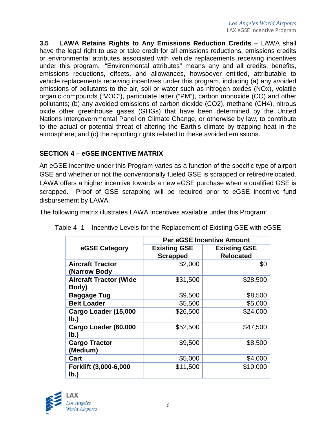**3.5 LAWA Retains Rights to Any Emissions Reduction Credits** – LAWA shall have the legal right to use or take credit for all emissions reductions, emissions credits or environmental attributes associated with vehicle replacements receiving incentives under this program. "Environmental attributes" means any and all credits, benefits, emissions reductions, offsets, and allowances, howsoever entitled, attributable to vehicle replacements receiving incentives under this program, including (a) any avoided emissions of pollutants to the air, soil or water such as nitrogen oxides (NOx), volatile organic compounds ("VOC"), particulate latter ("PM"), carbon monoxide (CO) and other pollutants; (b) any avoided emissions of carbon dioxide (CO2), methane (CH4), nitrous oxide other greenhouse gases (GHGs) that have been determined by the United Nations Intergovernmental Panel on Climate Change, or otherwise by law, to contribute to the actual or potential threat of altering the Earth's climate by trapping heat in the atmosphere; and (c) the reporting rights related to these avoided emissions.

## **SECTION 4 – eGSE INCENTIVE MATRIX**

An eGSE incentive under this Program varies as a function of the specific type of airport GSE and whether or not the conventionally fueled GSE is scrapped or retired/relocated. LAWA offers a higher incentive towards a new eGSE purchase when a qualified GSE is scrapped. Proof of GSE scrapping will be required prior to eGSE incentive fund disbursement by LAWA.

The following matrix illustrates LAWA Incentives available under this Program:

|                                          | <b>Per eGSE Incentive Amount</b>       |                                         |  |  |  |
|------------------------------------------|----------------------------------------|-----------------------------------------|--|--|--|
| eGSE Category                            | <b>Existing GSE</b><br><b>Scrapped</b> | <b>Existing GSE</b><br><b>Relocated</b> |  |  |  |
| <b>Aircraft Tractor</b><br>(Narrow Body  | \$2,000                                | \$0                                     |  |  |  |
| <b>Aircraft Tractor (Wide</b><br>Body)   | \$31,500                               | \$28,500                                |  |  |  |
| <b>Baggage Tug</b>                       | \$9,500                                | \$8,500                                 |  |  |  |
| <b>Belt Loader</b>                       | \$5,500                                | \$5,000                                 |  |  |  |
| Cargo Loader (15,000<br>lb.)             | \$26,500                               | \$24,000                                |  |  |  |
| Cargo Loader (60,000<br>$I_{\mathbf{b}}$ | \$52,500                               | \$47,500                                |  |  |  |
| <b>Cargo Tractor</b><br>(Medium)         | \$9,500                                | \$8,500                                 |  |  |  |
| Cart                                     | \$5,000                                | \$4,000                                 |  |  |  |
| Forklift (3,000-6,000<br>$I_{\rm b}$     | \$11,500                               | \$10,000                                |  |  |  |

Table 4 -1 – Incentive Levels for the Replacement of Existing GSE with eGSE

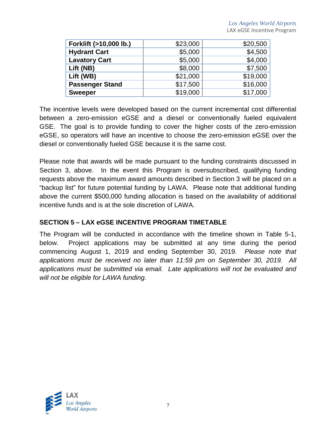| \$23,000 | \$20,500 |
|----------|----------|
| \$5,000  | \$4,500  |
| \$5,000  | \$4,000  |
| \$8,000  | \$7,500  |
| \$21,000 | \$19,000 |
| \$17,500 | \$16,000 |
| \$19,000 | \$17,000 |
|          |          |

The incentive levels were developed based on the current incremental cost differential between a zero-emission eGSE and a diesel or conventionally fueled equivalent GSE. The goal is to provide funding to cover the higher costs of the zero-emission eGSE, so operators will have an incentive to choose the zero-emission eGSE over the diesel or conventionally fueled GSE because it is the same cost.

Please note that awards will be made pursuant to the funding constraints discussed in Section 3, above. In the event this Program is oversubscribed, qualifying funding requests above the maximum award amounts described in Section 3 will be placed on a "backup list" for future potential funding by LAWA. Please note that additional funding above the current \$500,000 funding allocation is based on the availability of additional incentive funds and is at the sole discretion of LAWA.

### **SECTION 5 – LAX eGSE INCENTIVE PROGRAM TIMETABLE**

The Program will be conducted in accordance with the timeline shown in Table 5-1, below. Project applications may be submitted at any time during the period commencing August 1, 2019 and ending September 30, 2019. *Please note that applications must be received no later than 11:59 pm on September 30, 2019. All applications must be submitted via email. Late applications will not be evaluated and will not be eligible for LAWA funding.*

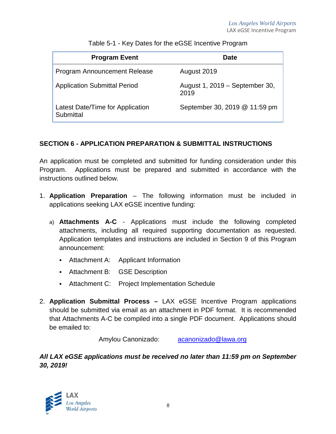| <b>Program Event</b>                          | Date                                   |
|-----------------------------------------------|----------------------------------------|
| <b>Program Announcement Release</b>           | August 2019                            |
| <b>Application Submittal Period</b>           | August 1, 2019 – September 30,<br>2019 |
| Latest Date/Time for Application<br>Submittal | September 30, 2019 @ 11:59 pm          |

Table 5-1 - Key Dates for the eGSE Incentive Program

## **SECTION 6 - APPLICATION PREPARATION & SUBMITTAL INSTRUCTIONS**

An application must be completed and submitted for funding consideration under this Program. Applications must be prepared and submitted in accordance with the instructions outlined below.

- 1. **Application Preparation** The following information must be included in applications seeking LAX eGSE incentive funding:
	- a) **Attachments A-C** Applications must include the following completed attachments, including all required supporting documentation as requested. Application templates and instructions are included in Section 9 of this Program announcement:
		- Attachment A: Applicant Information
		- Attachment B: GSE Description
		- Attachment C: Project Implementation Schedule
- 2. **Application Submittal Process –** LAX eGSE Incentive Program applications should be submitted via email as an attachment in PDF format. It is recommended that Attachments A-C be compiled into a single PDF document. Applications should be emailed to:

Amylou Canonizado: [acanonizado@lawa.org](mailto:acanonizado@lawa.org)

## *All LAX eGSE applications must be received no later than 11:59 pm on September 30, 2019!*

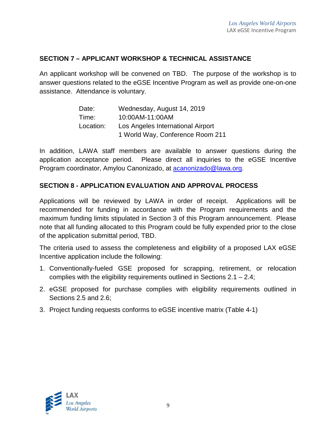#### **SECTION 7 – APPLICANT WORKSHOP & TECHNICAL ASSISTANCE**

An applicant workshop will be convened on TBD. The purpose of the workshop is to answer questions related to the eGSE Incentive Program as well as provide one-on-one assistance. Attendance is voluntary.

> Date: Wednesday, August 14, 2019 Time: 10:00AM-11:00AM Location: Los Angeles International Airport 1 World Way, Conference Room 211

In addition, LAWA staff members are available to answer questions during the application acceptance period. Please direct all inquiries to the eGSE Incentive Program coordinator, Amylou Canonizado, at [acanonizado@lawa.org.](mailto:acanonizado@lawa.org)

#### **SECTION 8 - APPLICATION EVALUATION AND APPROVAL PROCESS**

Applications will be reviewed by LAWA in order of receipt. Applications will be recommended for funding in accordance with the Program requirements and the maximum funding limits stipulated in Section 3 of this Program announcement. Please note that all funding allocated to this Program could be fully expended prior to the close of the application submittal period, TBD.

The criteria used to assess the completeness and eligibility of a proposed LAX eGSE Incentive application include the following:

- 1. Conventionally-fueled GSE proposed for scrapping, retirement, or relocation complies with the eligibility requirements outlined in Sections 2.1 – 2.4;
- 2. eGSE proposed for purchase complies with eligibility requirements outlined in Sections 2.5 and 2.6;
- 3. Project funding requests conforms to eGSE incentive matrix (Table 4-1)

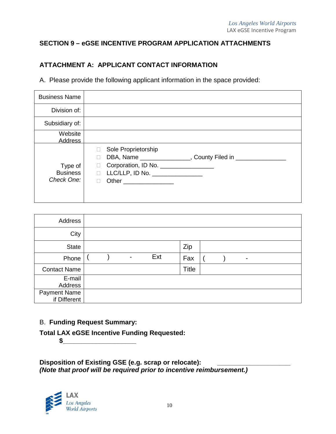### **SECTION 9 – eGSE INCENTIVE PROGRAM APPLICATION ATTACHMENTS**

## **ATTACHMENT A: APPLICANT CONTACT INFORMATION**

A. Please provide the following applicant information in the space provided:

| <b>Business Name</b>                     |                                                                                                                                                                                                                                                                      |
|------------------------------------------|----------------------------------------------------------------------------------------------------------------------------------------------------------------------------------------------------------------------------------------------------------------------|
| Division of:                             |                                                                                                                                                                                                                                                                      |
| Subsidiary of:                           |                                                                                                                                                                                                                                                                      |
| Website<br>Address                       |                                                                                                                                                                                                                                                                      |
| Type of<br><b>Business</b><br>Check One: | Sole Proprietorship<br>DBA, Name ________________, County Filed in _______________<br>П<br>Corporation, ID No. _________________<br>$\Box$<br>$LLC/LLP$ , ID No. $\_\_\_\_\_\_\_\_\_\_\_\_\_\_\_\_\_\_\_\_\_\_\_\_\_\_\_\_\_\_$<br>П<br>Other _________________<br>П |

| Address                             |  |                          |     |              |  |   |  |
|-------------------------------------|--|--------------------------|-----|--------------|--|---|--|
| City                                |  |                          |     |              |  |   |  |
| <b>State</b>                        |  |                          |     | Zip          |  |   |  |
| Phone                               |  | $\overline{\phantom{0}}$ | Ext | Fax          |  | - |  |
| <b>Contact Name</b>                 |  |                          |     | <b>Title</b> |  |   |  |
| E-mail<br>Address                   |  |                          |     |              |  |   |  |
| <b>Payment Name</b><br>if Different |  |                          |     |              |  |   |  |

B. **Funding Request Summary:**

**Total LAX eGSE Incentive Funding Requested:**  $\sim$ 

**Disposition of Existing GSE (e.g. scrap or relocate): \_\_\_\_\_\_\_\_\_\_\_\_\_\_\_\_\_\_\_\_** *(Note that proof will be required prior to incentive reimbursement.)*

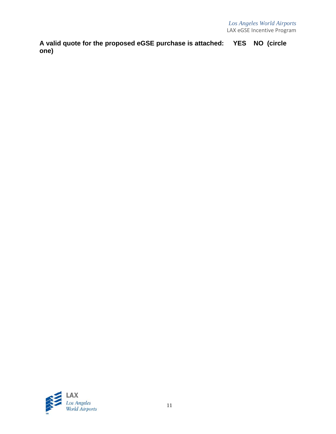**A valid quote for the proposed eGSE purchase is attached: YES NO (circle one)**

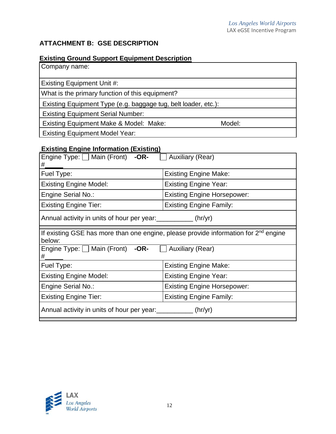## **ATTACHMENT B: GSE DESCRIPTION**

## **Existing Ground Support Equipment Description**

| Company name:                                                  |        |
|----------------------------------------------------------------|--------|
| <b>Existing Equipment Unit #:</b>                              |        |
| What is the primary function of this equipment?                |        |
| Existing Equipment Type (e.g. baggage tug, belt loader, etc.): |        |
| <b>Existing Equipment Serial Number:</b>                       |        |
| Existing Equipment Make & Model: Make:                         | Model: |
| <b>Existing Equipment Model Year:</b>                          |        |

## **Existing Engine Information (Existing)**

| Engine Type: $\Box$ Main (Front) -OR-<br>#.                                                               | <b>Auxiliary (Rear)</b>            |  |  |  |
|-----------------------------------------------------------------------------------------------------------|------------------------------------|--|--|--|
| Fuel Type:                                                                                                | <b>Existing Engine Make:</b>       |  |  |  |
| <b>Existing Engine Model:</b>                                                                             | <b>Existing Engine Year:</b>       |  |  |  |
| Engine Serial No.:                                                                                        | <b>Existing Engine Horsepower:</b> |  |  |  |
| <b>Existing Engine Tier:</b>                                                                              | <b>Existing Engine Family:</b>     |  |  |  |
| Annual activity in units of hour per year: ____________(hr/yr)                                            |                                    |  |  |  |
| If existing GSE has more than one engine, please provide information for 2 <sup>nd</sup> engine<br>below: |                                    |  |  |  |
| Engine Type: $\Box$ Main (Front) -OR- $\Box$ Auxiliary (Rear)<br>#                                        |                                    |  |  |  |
| Fuel Type:                                                                                                | <b>Existing Engine Make:</b>       |  |  |  |
| <b>Existing Engine Model:</b>                                                                             | <b>Existing Engine Year:</b>       |  |  |  |
| Engine Serial No.:                                                                                        | <b>Existing Engine Horsepower:</b> |  |  |  |
| <b>Existing Engine Tier:</b>                                                                              | <b>Existing Engine Family:</b>     |  |  |  |
| Annual activity in units of hour per year: ___________ (hr/yr)                                            |                                    |  |  |  |